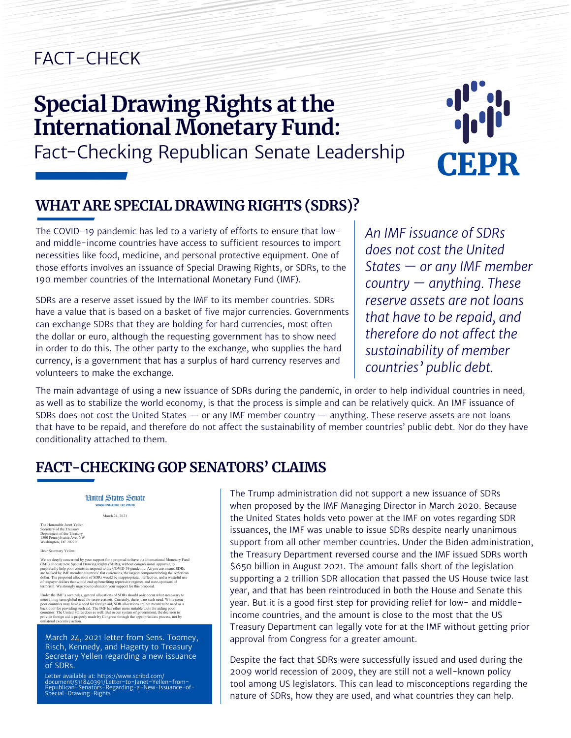# FACT-CHECK

# **[Special Drawing Rights at the](https://cepr.shorthandstories.com/fact-check-sdrs/index.html)  [International Monetary Fund:](https://cepr.shorthandstories.com/fact-check-sdrs/index.html)**  [Fact-Checking Republican Senate Leadership](https://cepr.shorthandstories.com/fact-check-sdrs/index.html)



#### **WHAT ARE SPECIAL DRAWING RIGHTS (SDRS)?**

The COVID-19 pandemic has led to a variety of efforts to ensure that lowand middle-income countries have access to sufficient resources to import necessities like food, medicine, and personal protective equipment. One of those efforts involves an issuance of Special Drawing Rights, or SDRs, to the 190 member countries of the International Monetary Fund (IMF).

SDRs are a reserve asset issued by the IMF to its member countries. SDRs have a value that is based on a basket of five major currencies. Governments can exchange SDRs that they are holding for hard currencies, most often the dollar or euro, although the requesting government has to show need in order to do this. The other party to the exchange, who supplies the hard currency, is a government that has a surplus of hard currency reserves and volunteers to make the exchange.

*An IMF issuance of SDRs does not cost the United States — or any IMF member country — anything. These reserve assets are not loans that have to be repaid, and therefore do not affect the sustainability of member countries' public debt.*

The main advantage of using a new issuance of SDRs during the pandemic, in order to help individual countries in need, as well as to stabilize the world economy, is that the process is simple and can be relatively quick. An IMF issuance of SDRs does not cost the United States — or any IMF member country — anything. These reserve assets are not loans that have to be repaid, and therefore do not affect the sustainability of member countries' public debt. Nor do they have conditionality attached to them.

### **FACT-CHECKING GOP SENATORS' CLAIMS**

**Hnited States Senate WASHINGTON, DC 20510** March 24, 2021

The Honorable Janet Yellen Secretary of the Treasury Department of the Treasury 1500 Pennsylvania Ave. NW Washington, DC 20220 er<br>Tetary Yellen:

ī

We are deeply concerned by your support for a proposal to have the International Monetary Fund (IMF) allocate new Special Drawing Rights (SDRs), without congressional approval, to purportedly help poor countries respond t

Under the MH<sup>T</sup>s cown rules, general allocations of SDNs should only occur when necessary to meet a long-term global need for reserve assets. Currently, there is no such need. While some poor countries may have a need for

March 24, 2021 letter from Sens. Toomey, Risch, Kennedy, and Hagerty to Treasury Secretary Yellen regarding a new issuance of SDRs.

Letter available at: https://www.scribd.com/<br>document/511840391/Letter-to-Janet-Yellen-from-<br>Republican-Senators-Regarding-a-New-Issuance-of<br>Special-Drawing-Rights Letter available at: https://www.scribd.com/<br>document/511840391/Letter-to-Janet-Yellen-from-<br>Republican-Senators-Regarding-a-New-Issuance-of-<br>Special-Drawing-Rights The Trump administration did not support a new issuance of SDRs when proposed by the IMF Managing Director in March 2020. Because the United States holds veto power at the IMF on votes regarding SDR issuances, the IMF was unable to issue SDRs despite nearly unanimous support from all other member countries. Under the Biden administration, the Treasury Department reversed course and the IMF issued SDRs worth \$650 billion in August 2021. The amount falls short of the legislation supporting a 2 trillion SDR allocation that passed the US House twice last year, and that has been reintroduced in both the House and Senate this year. But it is a good first step for providing relief for low- and middleincome countries, and the amount is close to the most that the US Treasury Department can legally vote for at the IMF without getting prior approval from Congress for a greater amount.

Despite the fact that SDRs were successfully issued and used during the 2009 world recession of 2009, they are still not a well-known policy tool among US legislators. This can lead to misconceptions regarding the nature of SDRs, how they are used, and what countries they can help.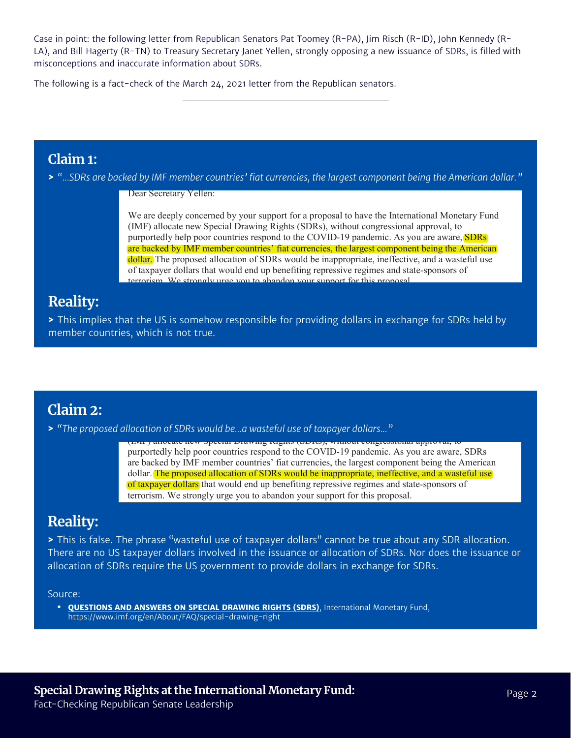Case in point: the following letter from Republican Senators Pat Toomey (R-PA), Jim Risch (R-ID), John Kennedy (R-LA), and Bill Hagerty (R-TN) to Treasury Secretary Janet Yellen, strongly opposing a new issuance of SDRs, is filled with misconceptions and inaccurate information about SDRs.

The following is a fact-check of the March 24, 2021 letter from the Republican senators.

#### **Claim 1:**

**>** "...SDRs are backed by IMF member countries' fiat currencies, the largest component being the American dollar."

Dear Secretary Yellen:

Washington, DC 20220

Secretary of the Treasury

We are deeply concerned by your support for a proposal to have the International Monetary Fund (IMF) allocate new Special Drawing Rights (SDRs), without congressional approval, to purportedly help poor countries respond to the COVID-19 pandemic. As you are aware, **SDRs** are backed by IMF member countries' fiat currencies, the largest component being the American dollar. The proposed allocation of SDRs would be inappropriate, ineffective, and a wasteful use of taxpayer dollars that would end up benefiting repressive regimes and state-sponsors of rism. We strongly urge you to abandon your support for this proposal

#### **Reality:**

**>** This implies that the US is somehow responsible for providing dollars in exchange for SDRs held by member countries, which is not true. The IMF has other more such aid. The IMF has other more such as other more it the US is somehow responsible for providing dollars in exchange for SDRs hel

 $\mathcal{L}_{\mathcal{A}}$  countries. The United States does as well. But in our system of government, the decision to decision to

Note only would such an SDR allocation be inappropriate under the IMF's rules, but some have  $\mathcal{L}$ 

#### **Claim 2:**

 $\alpha$  is a proven in the U.S. shows allocated the U.S. share of townsur deliver  $\omega$  $\blacktriangleright$  "The proposed allocation of SDRs would be…a wasteful use of taxpayer dollars…"

congressional under the second under the standard theory with the standard approval, to purportedly help poor countries respond to the COVID-19 pandemic. As you are aware, SDRs are backed by INIT lifeliber countries That currencies, the largest component being the American<br>dollar. The proposed allocation of SDRs would be inappropriate, ineffective, and a wasteful use of taxpayer dollars that would end up benefiting repressive regimes and state-sponsors of terrorism. We strongly urge you to abandon your support for this proposal. nocate new special Drawing Rights (SDRs), without congressional approval, are backed by IMF member countries' fiat currencies, the largest component being the American

billion allocated in 2021 and \$500 billion allocated in 2022—would not. We sincerely hope that

#### **Reality:**

allocation would go to G20 countries, which do not need assistance, and less than ten percentries, and less than ten percent This is false. The phrase "wasteful use of taxpayer dollars" cannot be true about any SDR allocation. There are no US taxpayer dollars involved in the issuance or allocation of SDRs. Nor does the issuance or allocation of SDRs require the US government to provide dollars in exchange for SDRs. provide foreign aid is properly made by Congress through the appropriations process, not by

#### Source:

**• [QUESTIONS AND ANSWERS ON SPECIAL DRAWING RIGHTS \(SDRS\)](https://www.imf.org/en/About/FAQ/special-drawing-right)**, International Monetary Fund, nttps://www.imf.org/en/About/FAQ/special-drawing-right<br>https://www.imf.org/en/About/FAQ/special-drawing-right the legal requirement to obtain congressional approval for such an allocation. Under federal law,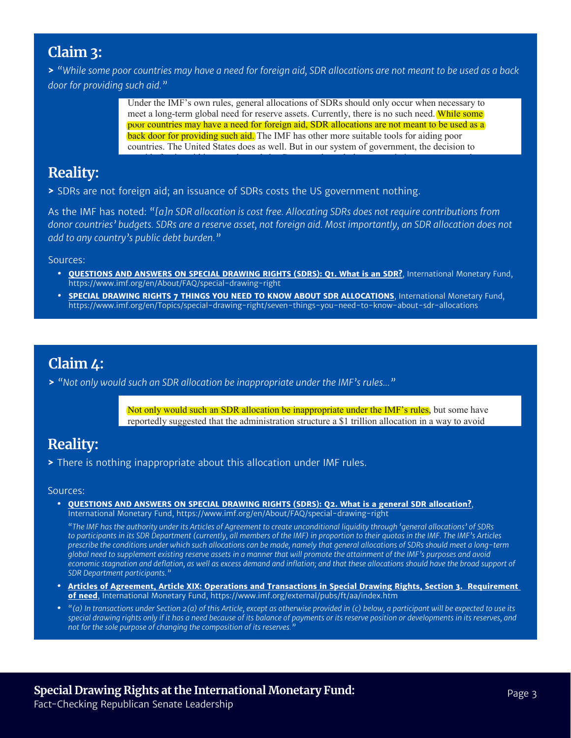#### **Claim 3:**

> "While some poor countries may have a need for foreign aid, SDR allocations are not meant to be used as a back *door for providing such aid."* terrorism. We strongly use  $\mathcal{L}_{\text{max}}$  urge you to abandon you to abandon you to abandon you to abandon you

> Under the IMF's own rules, general allocations of SDRs should only occur when necessary to meet a long-term global need for reserve assets. Currently, there is no such need. While some poor countries may have a need for foreign aid, SDR allocations are not meant to be used as a back door for providing such aid. The IMF has other more suitable tools for aiding poor countries. The United States does as well. But in our system of government, the decision to

provide foreign aid is properly made by Congress through the appropriations process, not by

purportedly help poor countries respond to the COVID-19 pandemic. As you are aware, SDRs

### **Reality:**

**>** SDRs are not foreign aid; an issuance of SDRs costs the US government nothing.

As the IMF has noted: "[a]n SDR allocation is cost free. Allocating SDRs does not require contributions from i donor countries<sup>,</sup> budgets. SDRs are a reserve asset, not foreign aid. Most importantly, an SDR allocation does not add to any country's public debt burden." And the same of the state of the state of the state of the state of

Sources:

- urces:<br>• [QUESTIONS AND ANSWERS ON SPECIAL DRAWING RIGHTS \(SDRS\): Q1. What is an SDR?](https://www.imf.org/en/About/FAQ/special-drawing-right#Q1.%20What%20is%20an%20SDR?), International Monetary Fund, https://www.imf.org/en/About/FAQ/special-drawing-right Dollar SUL DOLLAR CONSULTER CONSULTER CONSULTER AND SULTANEOUS OF SULTANEOUS CONSULTER AND INSTRUCT ON A WASHER OF SULTANEOUS OF SULTANEOUS OF SULTANEOUS OF SULTANEOUS OF SULTANEOUS OF SULTANEOUS OF SULTANEOUS OF SULTANEOU
- **• [SPECIAL DRAWING RIGHTS 7 THINGS YOU NEED TO KNOW ABOUT SDR ALLOCATIONS](https://www.imf.org/en/Topics/special-drawing-right/seven-things-you-need-to-know-about-sdr-allocations)**, International Monetary Fund, Even if an allocation of SDRs were appropriate—which it is not—it is an ineffective method of https://www.imf.org/en/Topics/special-drawing-right/seven-things-you-need-to-know-about-sdr-allocations<br>. providing for the provided to the low-income countries. As you noted to low-income countries in the countries of the countries of the countries of the countries of the countries. As you not a such a such a such a such and of taxpayer dollars that would end up benefit that would end up benefit the state regimes and state-sponsors o<br>Do believe – william value was and state and state for the sponsors of the state of the state of the state of terrorism. We strongly use you to above the strongly under the strongly direction of the strongly direction of the strongly support for the strongly support for the strongly support for the strongly support of the strongly

poor need for foreign allocations not meant to be

money goes to develop to developed countries like the United States. The United States. The United States of any

would reach poor countries. There is no rational economic justification for such a poorly targeted  $\alpha$ 

poor countries may have a need for foreign aid, SDR allocations are not meant to be used as a

two-thirds of any

### **Claim 4:**

> "Not only would such an SDR allocation be inappropriate under the IMF's rules..." such an SDR anocation De

> Not only would such an SDR allocation be inappropriate under the IMF's rules, but some have reportedly suggested that the administration structure a \$1 trillion allocation in a way to avoid

### **Reality:**

**>** There is nothing inappropriate about this allocation under IMF rules.  $\bar{\mathrm{g}}$  inappropriate about this allocation under IMF rules.

#### Sources:

• **[QUESTIONS AND ANSWERS ON SPECIAL DRAWING RIGHTS \(SDRS\): Q2. What is a general SDR allocation?](https://www.imf.org/en/About/FAQ/special-drawing-right#Q2.%20What%20would%20a%20general%20SDR%20allocation%20achieve?), <b>Fig. 10. 2. Were appropriate** International Monetary Fund, https://www.imf.org/en/About/FAQ/special-drawing-right providing formulation and to low-income countries. As you noted that you noted in such an in such and in such a<br>The countries of the countries of the countries in such and the countries of the countries of the countries of

https://www.brookings.edu/blog/up-front/2020/04/01/covid-19-and-the-economy/.

*"The IMF has the authority under its Articles of Agreement to create unconditional liquidity through 'general allocations' of SDRs to participants in its SDR Department (currently, all members of the IMF) in proportion to their quotas in the IMF. The IMF's Articles*  to participants in its SDR Department (currently, an members of the narr) in proportion to their quotas in the narr. The narr S Articles<br>prescribe the conditions under which such allocations can be made, namely that genera .<br>global need to supplement existing reserve assets in a manner that will promote the attainment of the IMF's purposes and avoid .<br>economic stagnation and deflation, as well as excess demand and inflation; and that these allocations should have the broad support of SDR Department participants." all interferences its articles of agreement to credit unconditional inquiring infough general directions of surf<br>Its CDR based on the University of the procedure of the IMFN in production of their surface in the UMF-The I

- **• [Articles of Agreement, Article XIX: Operations and Transactions in Special Drawing Rights, Section 3. Requirement](https://www.imf.org/external/pubs/ft/aa/index.htm)  [of need](https://www.imf.org/external/pubs/ft/aa/index.htm)**, International Monetary Fund, https://www.imf.org/external/pubs/ft/aa/index.htm
- "(a) In transactions under Section 2(a) of this Article, except as otherwise provided in (c) below, a participant will be expected to use its special drawing rights only if it has a need because of its balance of payments or its reserve position or developments in its reserves, and<br>Special drawing rights only if it has a need because of its balance of payments o *not for the sole purpose of changing the composition of its reserves."*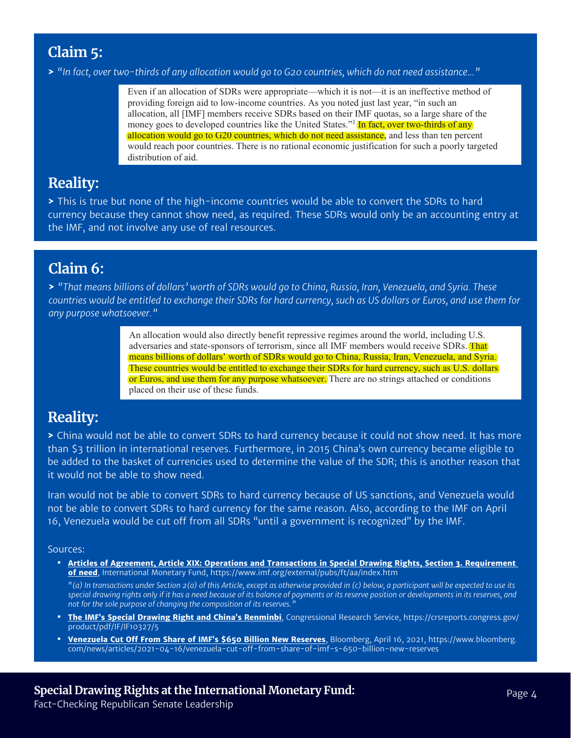### **Claim 5:**

> "In fact, over two-thirds of any allocation would go to G20 countries, which do not need assistance..."

Even if an allocation of SDRs were appropriate—which it is not—it is an ineffective method of providing foreign aid to low-income countries. As you noted just last year, "in such an allocation, all [IMF] members receive SDRs based on their IMF quotas, so a large share of the money goes to developed countries like the United States."<sup>1</sup> (In fact, over two-thirds of any allocation would go to G20 countries, which do not need assistance, and less than ten percent would reach poor countries. There is no rational economic justification for such a poorly targeted distribution of aid.

certain threshold amount over a five-year period. A \$1 trillion allocation in 2021 would require

#### **Reality:**

> This is true but none of the high-income countries would be able to convert the SDRs to hard currency because they cannot show need, as required. These SDRs would only be an accounting entry at the IMF, and not involve any use of real resources.

#### **Claim 6:**

**>** *"That means billions of dollars' worth of SDRs would go to China, Russia, Iran, Venezuela, and Syria. These countries would be entitled to exchange their SDRs for hard currency, such as US dollars or Euros, and use them for any purpose whatsoever."*

> An allocation would also directly benefit repressive regimes around the world, including U.S. adversaries and state-sponsors of terrorism, since all IMF members would receive SDRs. That means billions of dollars' worth of SDRs would go to China, Russia, Iran, Venezuela, and Syria. These countries would be entitled to exchange their SDRs for hard currency, such as U.S. dollars or Euros, and use them for any purpose whatsoever. There are no strings attached or conditions placed on their use of these funds.

### **Reality:**

> China would not be able to convert SDRs to hard currency because it could not show need. It has more than \$3 trillion in international reserves. Furthermore, in 2015 China's own currency became eligible to ending plannon in international reserves radiatenmole, in 2019 ening blow carrelity became engible to the basket of currencies used to determine the value of the SDR; this is another reason that it would not be able to show need. shet of currenties used to determine the value of the SDR, this is another reason.<br>. These dollars come the computation of the set is and future reason

Iran would not be able to convert SDRs to hard currency because of US sanctions, and Venezuela would not be able to convert SDRs to hard currency for the same reason. Also, according to the IMF on April 16, Venezuela would be cut off from all SDRs "until a government is recognized" by the IMF.

#### Sources:

**• [Articles of Agreement, Article XIX: Operations and Transactions in Special Drawing Rights, Section 3. Requirement](https://www.imf.org/external/pubs/ft/aa/index.htm)**  <mark>[of need](https://www.imf.org/external/pubs/ft/aa/index.htm)</mark>, International Monetary Fund, https://www.imf.org/external/pubs/ft/aa/index.htm

*"(a) In transactions under Section 2(a) of this Article, except as otherwise provided in (c) below, a participant will be expected to use its special drawing rights only if it has a need because of its balance of payments or its reserve position or developments in its reserves, and not for the sole purpose of changing the composition of its reserves."* is under Section 2(a) Ints only it it has a need because of its bala<br>in a failure committee on the committee of the committee of the committee of the committee of the committee of pose or changing the compositiv ided in (c) below, a p ir its reserve position or developments in  $\overline{\phantom{a}}$ 

- **• [The IMF's Special Drawing Right and China's Renminbi](https://crsreports.congress.gov/product/pdf/IF/IF10327/5)**, Congressional Research Service, https://crsreports.congress.gov/ product/pdf/IF/IF10327/5
- **• [Venezuela Cut Off From Share of IMF's \\$650 Billion New Reserves](https://www.bloomberg.com/news/articles/2021-04-16/venezuela-cut-off-from-share-of-imf-s-650-billion-new-reserves)**, Bloomberg, April 16, 2021, https://www.bloomberg. com/news/articles/2021-04-16/venezuela-cut-off-from-share-of-imf-s-650-billion-new-reserves

Bill Hagerty

Ranking Member, Subcommittee on State

Ranking Member, Subcommittee on

John Kennedy